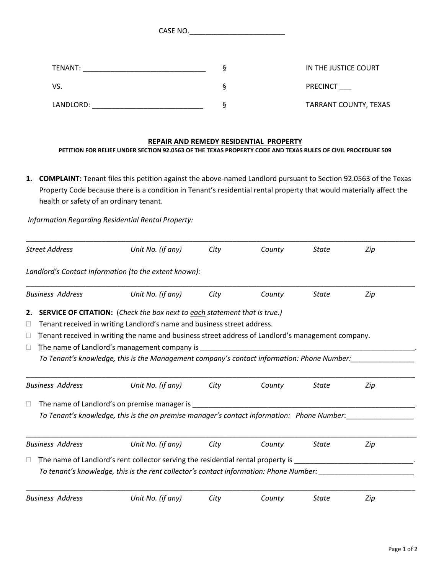CASE NO.\_\_\_\_\_\_\_\_\_\_\_\_\_\_\_\_\_\_\_\_\_\_\_\_

| TENANT:   | IN THE JUSTICE COURT         |  |
|-----------|------------------------------|--|
| VS.       | <b>PRECINCT</b>              |  |
| LANDLORD: | <b>TARRANT COUNTY, TEXAS</b> |  |

## **REPAIR AND REMEDY RESIDENTIAL PROPERTY**

**PETITION FOR RELIEF UNDER SECTION 92.0563 OF THE TEXAS PROPERTY CODE AND TEXAS RULES OF CIVIL PROCEDURE 509**

**1. COMPLAINT:** Tenant files this petition against the above-named Landlord pursuant to Section 92.0563 of the Texas Property Code because there is a condition in Tenant's residential rental property that would materially affect the health or safety of an ordinary tenant.

*Information Regarding Residential Rental Property:*

| <b>Street Address</b>                                                                                                                                                                                                                                                                                                                                                                                                               |                         | Unit No. (if any)                                                                                                                                                          | City | County | <b>State</b> | Zip |
|-------------------------------------------------------------------------------------------------------------------------------------------------------------------------------------------------------------------------------------------------------------------------------------------------------------------------------------------------------------------------------------------------------------------------------------|-------------------------|----------------------------------------------------------------------------------------------------------------------------------------------------------------------------|------|--------|--------------|-----|
|                                                                                                                                                                                                                                                                                                                                                                                                                                     |                         | Landlord's Contact Information (to the extent known):                                                                                                                      |      |        |              |     |
|                                                                                                                                                                                                                                                                                                                                                                                                                                     | <b>Business Address</b> | Unit No. (if any)                                                                                                                                                          | City | County | <b>State</b> | Zip |
| <b>SERVICE OF CITATION:</b> (Check the box next to each statement that is true.)<br>2.<br>Tenant received in writing Landlord's name and business street address.<br>Ц<br>Tenant received in writing the name and business street address of Landlord's management company.<br>Ш<br>The name of Landlord's management company is<br>Ц<br>To Tenant's knowledge, this is the Management company's contact information: Phone Number: |                         |                                                                                                                                                                            |      |        |              |     |
|                                                                                                                                                                                                                                                                                                                                                                                                                                     | <b>Business Address</b> | Unit No. (if any)                                                                                                                                                          | City | County | <b>State</b> | Zip |
| Ц                                                                                                                                                                                                                                                                                                                                                                                                                                   |                         | The name of Landlord's on premise manager is<br>To Tenant's knowledge, this is the on premise manager's contact information: Phone Number:                                 |      |        |              |     |
|                                                                                                                                                                                                                                                                                                                                                                                                                                     | <b>Business Address</b> | Unit No. (if any)                                                                                                                                                          | City | County | <b>State</b> | Zip |
|                                                                                                                                                                                                                                                                                                                                                                                                                                     |                         | The name of Landlord's rent collector serving the residential rental property is<br>To tenant's knowledge, this is the rent collector's contact information: Phone Number: |      |        |              |     |
|                                                                                                                                                                                                                                                                                                                                                                                                                                     | <b>Business Address</b> | Unit No. (if any)                                                                                                                                                          | City | County | <b>State</b> | Zip |